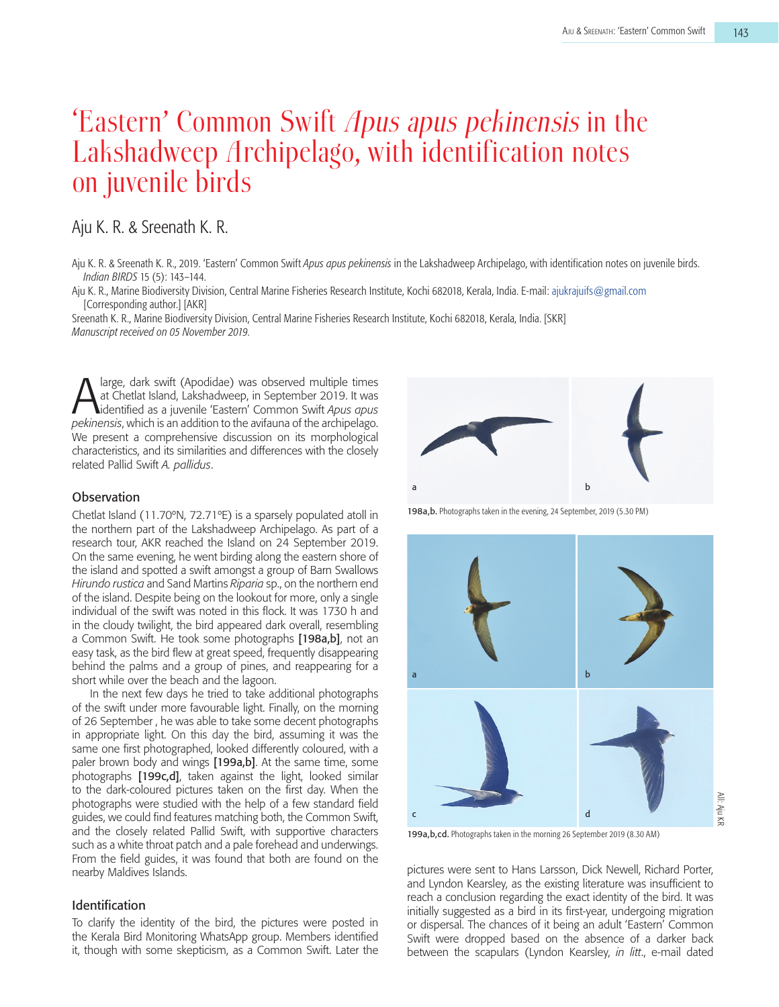# 'Eastern' Common Swift Apus apus pekinensis in the Lakshadweep Archipelago, with identification notes on juvenile birds

# Aju K. R. & Sreenath K. R.

Aju K. R. & Sreenath K. R., 2019. 'Eastern' Common Swift *Apus apus pekinensis* in the Lakshadweep Archipelago, with identification notes on juvenile birds. *Indian BIRDS* 15 (5): 143–144.

Aju K. R., Marine Biodiversity Division, Central Marine Fisheries Research Institute, Kochi 682018, Kerala, India. E-mail: ajukrajuifs@gmail.com [Corresponding author.] [AKR]

Sreenath K. R., Marine Biodiversity Division, Central Marine Fisheries Research Institute, Kochi 682018, Kerala, India. [SKR] *Manuscript received on 05 November 2019*.

A large, dark swift (Apodidae) was observed multiple times<br>at Chetlat Island, Lakshadweep, in September 2019. It was<br>identified as a juvenile 'Eastern' Common Swift Apus apus<br>performance which is an addition to the avitaur at Chetlat Island, Lakshadweep, in September 2019. It was identified as a juvenile 'Eastern' Common Swift *Apus apus pekinensis*, which is an addition to the avifauna of the archipelago. We present a comprehensive discussion on its morphological characteristics, and its similarities and differences with the closely related Pallid Swift *A. pallidus*.

# **Observation**

Chetlat Island (11.70ºN, 72.71ºE) is a sparsely populated atoll in the northern part of the Lakshadweep Archipelago. As part of a research tour, AKR reached the Island on 24 September 2019. On the same evening, he went birding along the eastern shore of the island and spotted a swift amongst a group of Barn Swallows *Hirundo rustica* and Sand Martins *Riparia* sp., on the northern end of the island. Despite being on the lookout for more, only a single individual of the swift was noted in this flock. It was 1730 h and in the cloudy twilight, the bird appeared dark overall, resembling a Common Swift. He took some photographs [198a,b], not an easy task, as the bird flew at great speed, frequently disappearing behind the palms and a group of pines, and reappearing for a short while over the beach and the lagoon.

In the next few days he tried to take additional photographs of the swift under more favourable light. Finally, on the morning of 26 September , he was able to take some decent photographs in appropriate light. On this day the bird, assuming it was the same one first photographed, looked differently coloured, with a paler brown body and wings [199a,b]. At the same time, some photographs [199c,d], taken against the light, looked similar to the dark-coloured pictures taken on the first day. When the photographs were studied with the help of a few standard field guides, we could find features matching both, the Common Swift, and the closely related Pallid Swift, with supportive characters such as a white throat patch and a pale forehead and underwings. From the field guides, it was found that both are found on the nearby Maldives Islands.

## Identification

To clarify the identity of the bird, the pictures were posted in the Kerala Bird Monitoring WhatsApp group. Members identified it, though with some skepticism, as a Common Swift. Later the



198a,b. Photographs taken in the evening, 24 September, 2019 (5.30 PM)



199a,b,cd. Photographs taken in the morning 26 September 2019 (8.30 AM)

pictures were sent to Hans Larsson, Dick Newell, Richard Porter, and Lyndon Kearsley, as the existing literature was insufficient to reach a conclusion regarding the exact identity of the bird. It was initially suggested as a bird in its first-year, undergoing migration or dispersal. The chances of it being an adult 'Eastern' Common Swift were dropped based on the absence of a darker back between the scapulars (Lyndon Kearsley, *in litt*., e-mail dated